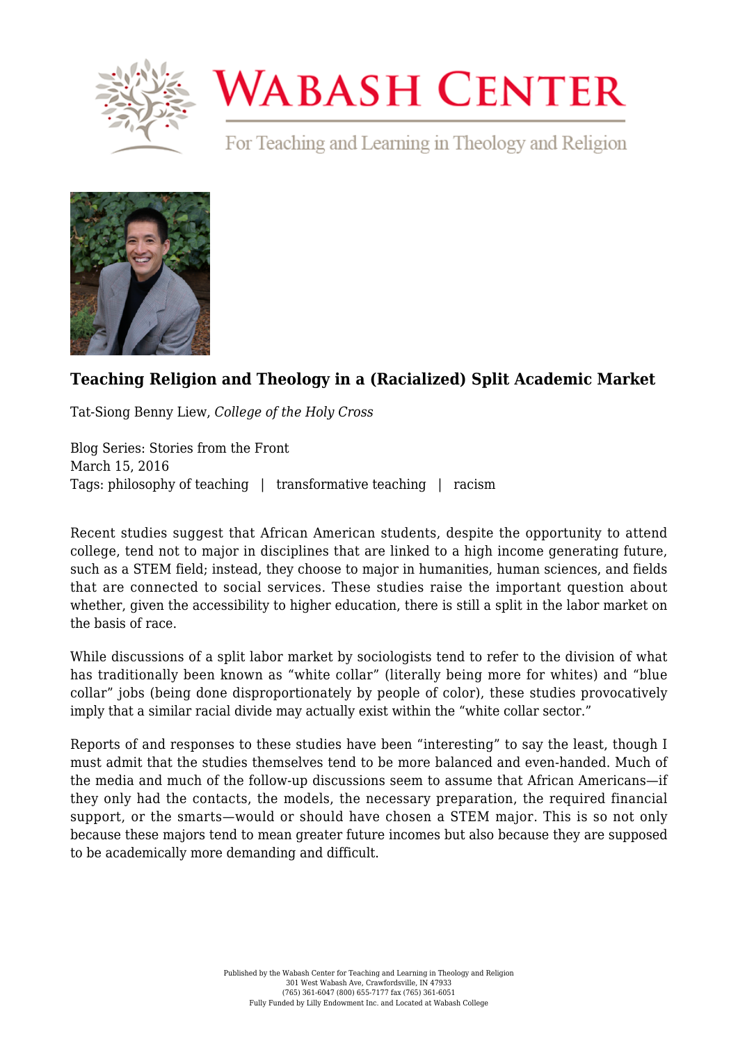

## **WABASH CENTER**

For Teaching and Learning in Theology and Religion



## **[Teaching Religion and Theology in a \(Racialized\) Split Academic Market](https://www.wabashcenter.wabash.edu/2016/03/teaching-religion-and-theology-in-a-racialized-split-academic-market/)**

Tat-Siong Benny Liew, *College of the Holy Cross*

Blog Series: Stories from the Front March 15, 2016 Tags: philosophy of teaching | transformative teaching | racism

Recent studies suggest that African American students, despite the opportunity to attend college, tend not to major in disciplines that are linked to a high income generating future, such as a STEM field; instead, they choose to major in humanities, human sciences, and fields that are connected to social services. These studies raise the important question about whether, given the accessibility to higher education, there is still a split in the labor market on the basis of race.

While discussions of a split labor market by sociologists tend to refer to the division of what has traditionally been known as "white collar" (literally being more for whites) and "blue collar" jobs (being done disproportionately by people of color), these studies provocatively imply that a similar racial divide may actually exist within the "white collar sector."

Reports of and responses to these studies have been "interesting" to say the least, though I must admit that the studies themselves tend to be more balanced and even-handed. Much of the media and much of the follow-up discussions seem to assume that African Americans—if they only had the contacts, the models, the necessary preparation, the required financial support, or the smarts—would or should have chosen a STEM major. This is so not only because these majors tend to mean greater future incomes but also because they are supposed to be academically more demanding and difficult.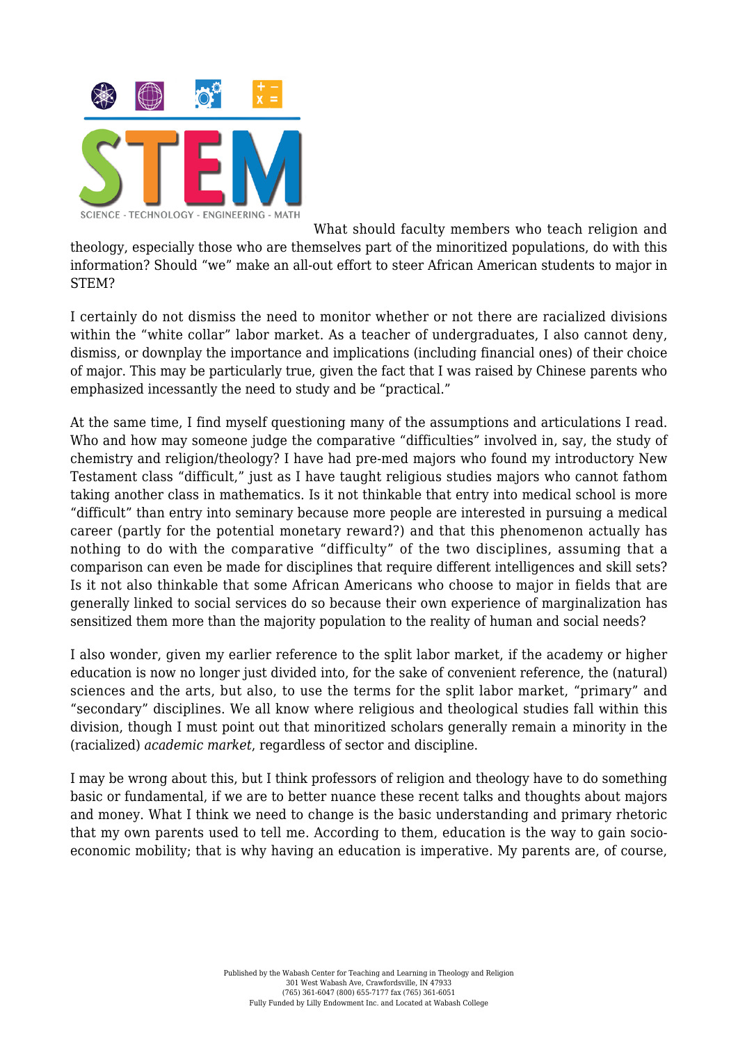

What should faculty members who teach religion and theology, especially those who are themselves part of the minoritized populations, do with this information? Should "we" make an all-out effort to steer African American students to major in STEM?

I certainly do not dismiss the need to monitor whether or not there are racialized divisions within the "white collar" labor market. As a teacher of undergraduates, I also cannot deny, dismiss, or downplay the importance and implications (including financial ones) of their choice of major. This may be particularly true, given the fact that I was raised by Chinese parents who emphasized incessantly the need to study and be "practical."

At the same time, I find myself questioning many of the assumptions and articulations I read. Who and how may someone judge the comparative "difficulties" involved in, say, the study of chemistry and religion/theology? I have had pre-med majors who found my introductory New Testament class "difficult," just as I have taught religious studies majors who cannot fathom taking another class in mathematics. Is it not thinkable that entry into medical school is more "difficult" than entry into seminary because more people are interested in pursuing a medical career (partly for the potential monetary reward?) and that this phenomenon actually has nothing to do with the comparative "difficulty" of the two disciplines, assuming that a comparison can even be made for disciplines that require different intelligences and skill sets? Is it not also thinkable that some African Americans who choose to major in fields that are generally linked to social services do so because their own experience of marginalization has sensitized them more than the majority population to the reality of human and social needs?

I also wonder, given my earlier reference to the split labor market, if the academy or higher education is now no longer just divided into, for the sake of convenient reference, the (natural) sciences and the arts, but also, to use the terms for the split labor market, "primary" and "secondary" disciplines. We all know where religious and theological studies fall within this division, though I must point out that minoritized scholars generally remain a minority in the (racialized) *academic market*, regardless of sector and discipline.

I may be wrong about this, but I think professors of religion and theology have to do something basic or fundamental, if we are to better nuance these recent talks and thoughts about majors and money. What I think we need to change is the basic understanding and primary rhetoric that my own parents used to tell me. According to them, education is the way to gain socioeconomic mobility; that is why having an education is imperative. My parents are, of course,